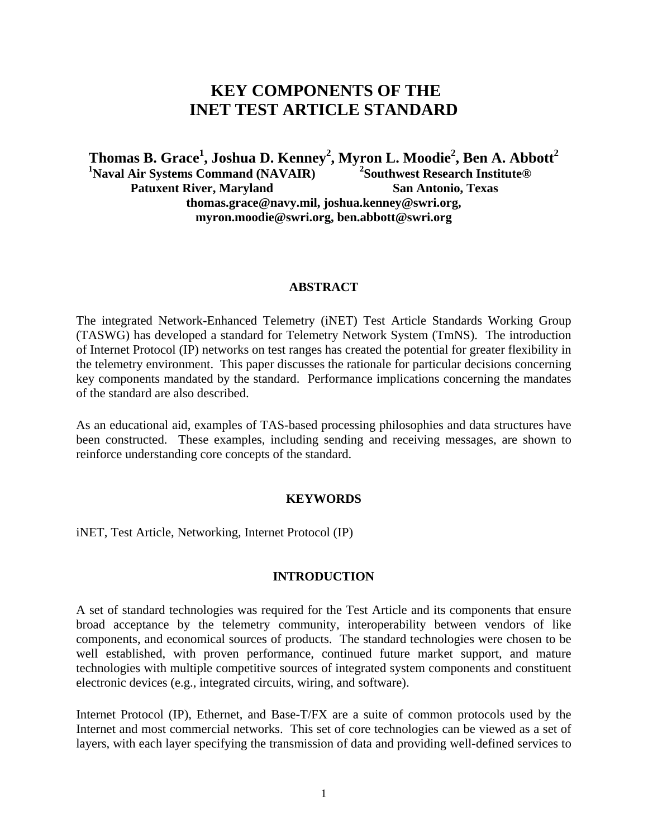# **KEY COMPONENTS OF THE INET TEST ARTICLE STANDARD**

**Thomas B. Grace<sup>1</sup> , Joshua D. Kenney<sup>2</sup> , Myron L. Moodie2 , Ben A. Abbott<sup>2</sup> 1 Naval Air Systems Command (NAVAIR) Patuxent River, Maryland 2 Southwest Research Institute® San Antonio, Texas thomas.grace@navy.mil, joshua.kenney@swri.org, myron.moodie@swri.org, ben.abbott@swri.org** 

### **ABSTRACT**

The integrated Network-Enhanced Telemetry (iNET) Test Article Standards Working Group (TASWG) has developed a standard for Telemetry Network System (TmNS). The introduction of Internet Protocol (IP) networks on test ranges has created the potential for greater flexibility in the telemetry environment. This paper discusses the rationale for particular decisions concerning key components mandated by the standard. Performance implications concerning the mandates of the standard are also described.

As an educational aid, examples of TAS-based processing philosophies and data structures have been constructed. These examples, including sending and receiving messages, are shown to reinforce understanding core concepts of the standard.

#### **KEYWORDS**

iNET, Test Article, Networking, Internet Protocol (IP)

# **INTRODUCTION**

A set of standard technologies was required for the Test Article and its components that ensure broad acceptance by the telemetry community, interoperability between vendors of like components, and economical sources of products. The standard technologies were chosen to be well established, with proven performance, continued future market support, and mature technologies with multiple competitive sources of integrated system components and constituent electronic devices (e.g., integrated circuits, wiring, and software).

Internet Protocol (IP), Ethernet, and Base-T/FX are a suite of common protocols used by the Internet and most commercial networks. This set of core technologies can be viewed as a set of layers, with each layer specifying the transmission of data and providing well-defined services to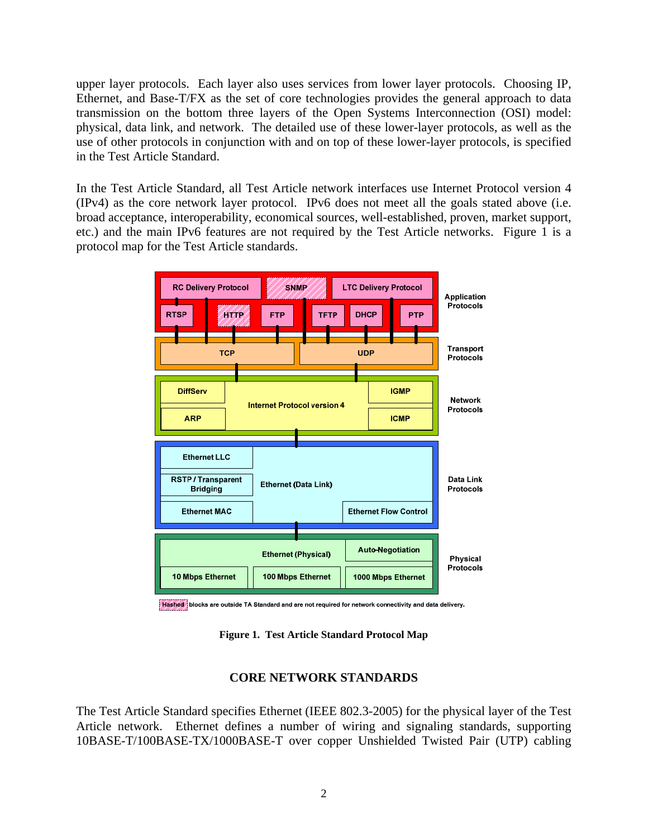upper layer protocols. Each layer also uses services from lower layer protocols. Choosing IP, Ethernet, and Base-T/FX as the set of core technologies provides the general approach to data transmission on the bottom three layers of the Open Systems Interconnection (OSI) model: physical, data link, and network. The detailed use of these lower-layer protocols, as well as the use of other protocols in conjunction with and on top of these lower-layer protocols, is specified in the Test Article Standard.

In the Test Article Standard, all Test Article network interfaces use Internet Protocol version 4 (IPv4) as the core network layer protocol. IPv6 does not meet all the goals stated above (i.e. broad acceptance, interoperability, economical sources, well-established, proven, market support, etc.) and the main IPv6 features are not required by the Test Article networks. [Figure 1](#page-1-0) is a protocol map for the Test Article standards.



Hashed blocks are outside TA Standard and are not required for network connectivity and data delivery.

**Figure 1. Test Article Standard Protocol Map** 

# **CORE NETWORK STANDARDS**

<span id="page-1-0"></span>The Test Article Standard specifies Ethernet (IEEE 802.3-2005) for the physical layer of the Test Article network. Ethernet defines a number of wiring and signaling standards, supporting 10BASE-T/100BASE-TX/1000BASE-T over copper Unshielded Twisted Pair (UTP) cabling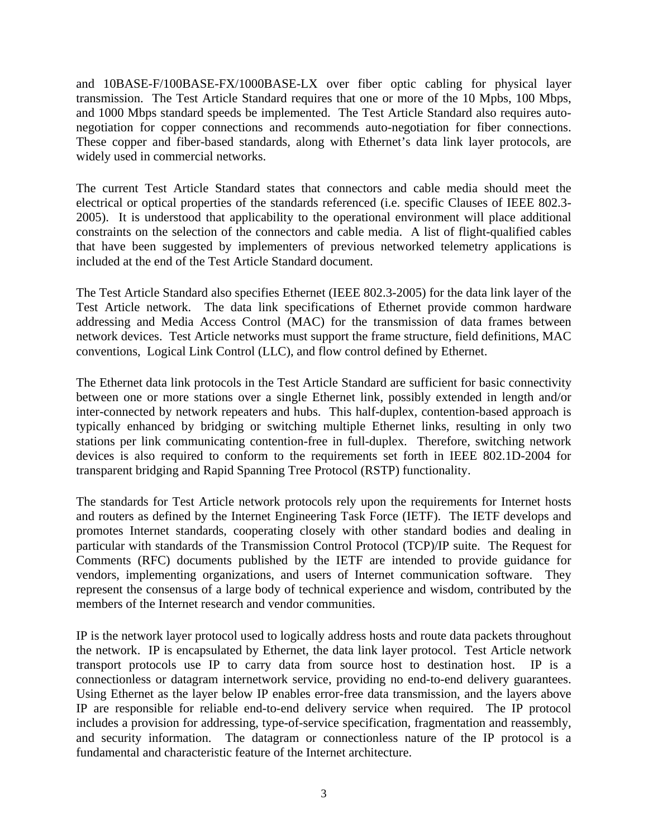and 10BASE-F/100BASE-FX/1000BASE-LX over fiber optic cabling for physical layer transmission. The Test Article Standard requires that one or more of the 10 Mpbs, 100 Mbps, and 1000 Mbps standard speeds be implemented. The Test Article Standard also requires autonegotiation for copper connections and recommends auto-negotiation for fiber connections. These copper and fiber-based standards, along with Ethernet's data link layer protocols, are widely used in commercial networks.

The current Test Article Standard states that connectors and cable media should meet the electrical or optical properties of the standards referenced (i.e. specific Clauses of IEEE 802.3- 2005). It is understood that applicability to the operational environment will place additional constraints on the selection of the connectors and cable media. A list of flight-qualified cables that have been suggested by implementers of previous networked telemetry applications is included at the end of the Test Article Standard document.

The Test Article Standard also specifies Ethernet (IEEE 802.3-2005) for the data link layer of the Test Article network. The data link specifications of Ethernet provide common hardware addressing and Media Access Control (MAC) for the transmission of data frames between network devices. Test Article networks must support the frame structure, field definitions, MAC conventions, Logical Link Control (LLC), and flow control defined by Ethernet.

The Ethernet data link protocols in the Test Article Standard are sufficient for basic connectivity between one or more stations over a single Ethernet link, possibly extended in length and/or inter-connected by network repeaters and hubs. This half-duplex, contention-based approach is typically enhanced by bridging or switching multiple Ethernet links, resulting in only two stations per link communicating contention-free in full-duplex. Therefore, switching network devices is also required to conform to the requirements set forth in IEEE 802.1D-2004 for transparent bridging and Rapid Spanning Tree Protocol (RSTP) functionality.

The standards for Test Article network protocols rely upon the requirements for Internet hosts and routers as defined by the Internet Engineering Task Force (IETF). The IETF develops and promotes Internet standards, cooperating closely with other standard bodies and dealing in particular with standards of the Transmission Control Protocol (TCP)/IP suite. The Request for Comments (RFC) documents published by the IETF are intended to provide guidance for vendors, implementing organizations, and users of Internet communication software. They represent the consensus of a large body of technical experience and wisdom, contributed by the members of the Internet research and vendor communities.

IP is the network layer protocol used to logically address hosts and route data packets throughout the network. IP is encapsulated by Ethernet, the data link layer protocol. Test Article network transport protocols use IP to carry data from source host to destination host. IP is a connectionless or datagram internetwork service, providing no end-to-end delivery guarantees. Using Ethernet as the layer below IP enables error-free data transmission, and the layers above IP are responsible for reliable end-to-end delivery service when required. The IP protocol includes a provision for addressing, type-of-service specification, fragmentation and reassembly, and security information. The datagram or connectionless nature of the IP protocol is a fundamental and characteristic feature of the Internet architecture.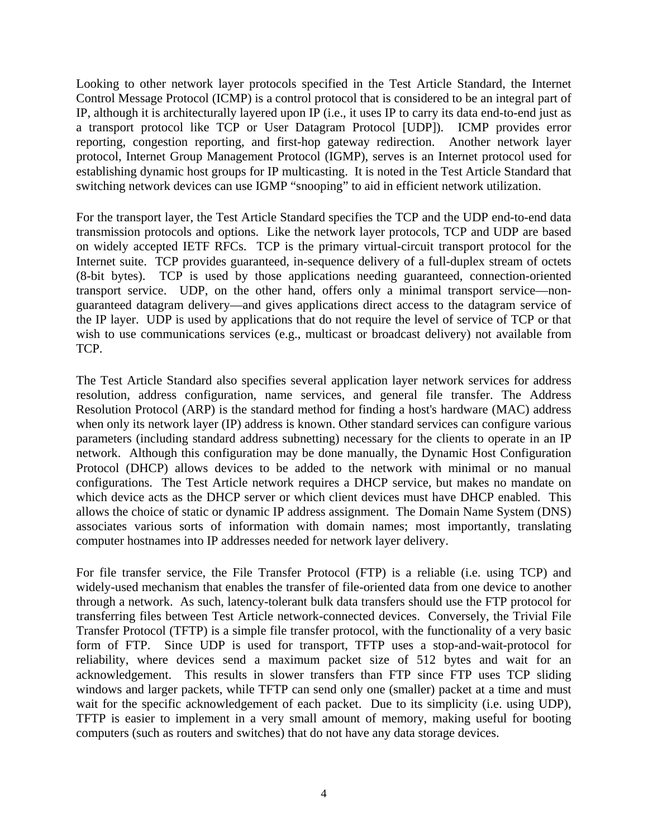Looking to other network layer protocols specified in the Test Article Standard, the Internet Control Message Protocol (ICMP) is a control protocol that is considered to be an integral part of IP, although it is architecturally layered upon IP (i.e., it uses IP to carry its data end-to-end just as a transport protocol like TCP or User Datagram Protocol [UDP]). ICMP provides error reporting, congestion reporting, and first-hop gateway redirection. Another network layer protocol, Internet Group Management Protocol (IGMP), serves is an Internet protocol used for establishing dynamic host groups for IP multicasting. It is noted in the Test Article Standard that switching network devices can use IGMP "snooping" to aid in efficient network utilization.

For the transport layer, the Test Article Standard specifies the TCP and the UDP end-to-end data transmission protocols and options. Like the network layer protocols, TCP and UDP are based on widely accepted IETF RFCs. TCP is the primary virtual-circuit transport protocol for the Internet suite. TCP provides guaranteed, in-sequence delivery of a full-duplex stream of octets (8-bit bytes). TCP is used by those applications needing guaranteed, connection-oriented transport service. UDP, on the other hand, offers only a minimal transport service—nonguaranteed datagram delivery—and gives applications direct access to the datagram service of the IP layer. UDP is used by applications that do not require the level of service of TCP or that wish to use communications services (e.g., multicast or broadcast delivery) not available from TCP.

The Test Article Standard also specifies several application layer network services for address resolution, address configuration, name services, and general file transfer. The Address Resolution Protocol (ARP) is the standard method for finding a host's hardware (MAC) address when only its network layer (IP) address is known. Other standard services can configure various parameters (including standard address subnetting) necessary for the clients to operate in an IP network. Although this configuration may be done manually, the Dynamic Host Configuration Protocol (DHCP) allows devices to be added to the network with minimal or no manual configurations. The Test Article network requires a DHCP service, but makes no mandate on which device acts as the DHCP server or which client devices must have DHCP enabled. This allows the choice of static or dynamic IP address assignment. The Domain Name System (DNS) associates various sorts of information with domain names; most importantly, translating computer hostnames into IP addresses needed for network layer delivery.

For file transfer service, the File Transfer Protocol (FTP) is a reliable (i.e. using TCP) and widely-used mechanism that enables the transfer of file-oriented data from one device to another through a network. As such, latency-tolerant bulk data transfers should use the FTP protocol for transferring files between Test Article network-connected devices. Conversely, the Trivial File Transfer Protocol (TFTP) is a simple file transfer protocol, with the functionality of a very basic form of FTP. Since UDP is used for transport, TFTP uses a stop-and-wait-protocol for reliability, where devices send a maximum packet size of 512 bytes and wait for an acknowledgement. This results in slower transfers than FTP since FTP uses TCP sliding windows and larger packets, while TFTP can send only one (smaller) packet at a time and must wait for the specific acknowledgement of each packet. Due to its simplicity (i.e. using UDP), TFTP is easier to implement in a very small amount of memory, making useful for booting computers (such as routers and switches) that do not have any data storage devices.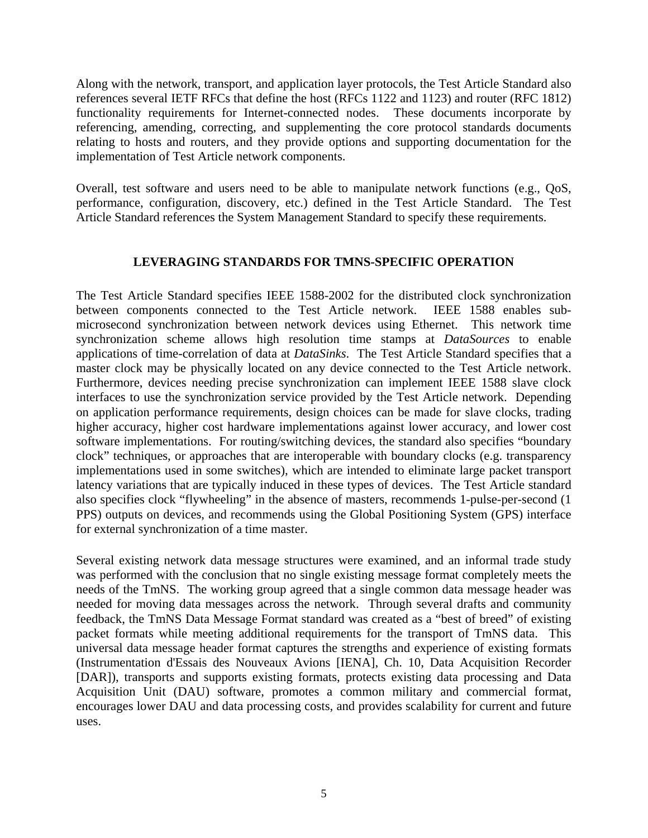Along with the network, transport, and application layer protocols, the Test Article Standard also references several IETF RFCs that define the host (RFCs 1122 and 1123) and router (RFC 1812) functionality requirements for Internet-connected nodes. These documents incorporate by referencing, amending, correcting, and supplementing the core protocol standards documents relating to hosts and routers, and they provide options and supporting documentation for the implementation of Test Article network components.

Overall, test software and users need to be able to manipulate network functions (e.g., QoS, performance, configuration, discovery, etc.) defined in the Test Article Standard. The Test Article Standard references the System Management Standard to specify these requirements.

# **LEVERAGING STANDARDS FOR TMNS-SPECIFIC OPERATION**

The Test Article Standard specifies IEEE 1588-2002 for the distributed clock synchronization between components connected to the Test Article network. IEEE 1588 enables submicrosecond synchronization between network devices using Ethernet. This network time synchronization scheme allows high resolution time stamps at *DataSources* to enable applications of time-correlation of data at *DataSinks*. The Test Article Standard specifies that a master clock may be physically located on any device connected to the Test Article network. Furthermore, devices needing precise synchronization can implement IEEE 1588 slave clock interfaces to use the synchronization service provided by the Test Article network. Depending on application performance requirements, design choices can be made for slave clocks, trading higher accuracy, higher cost hardware implementations against lower accuracy, and lower cost software implementations. For routing/switching devices, the standard also specifies "boundary clock" techniques, or approaches that are interoperable with boundary clocks (e.g. transparency implementations used in some switches), which are intended to eliminate large packet transport latency variations that are typically induced in these types of devices. The Test Article standard also specifies clock "flywheeling" in the absence of masters, recommends 1-pulse-per-second (1 PPS) outputs on devices, and recommends using the Global Positioning System (GPS) interface for external synchronization of a time master.

Several existing network data message structures were examined, and an informal trade study was performed with the conclusion that no single existing message format completely meets the needs of the TmNS. The working group agreed that a single common data message header was needed for moving data messages across the network. Through several drafts and community feedback, the TmNS Data Message Format standard was created as a "best of breed" of existing packet formats while meeting additional requirements for the transport of TmNS data. This universal data message header format captures the strengths and experience of existing formats (Instrumentation d'Essais des Nouveaux Avions [IENA], Ch. 10, Data Acquisition Recorder [DAR]), transports and supports existing formats, protects existing data processing and Data Acquisition Unit (DAU) software, promotes a common military and commercial format, encourages lower DAU and data processing costs, and provides scalability for current and future uses.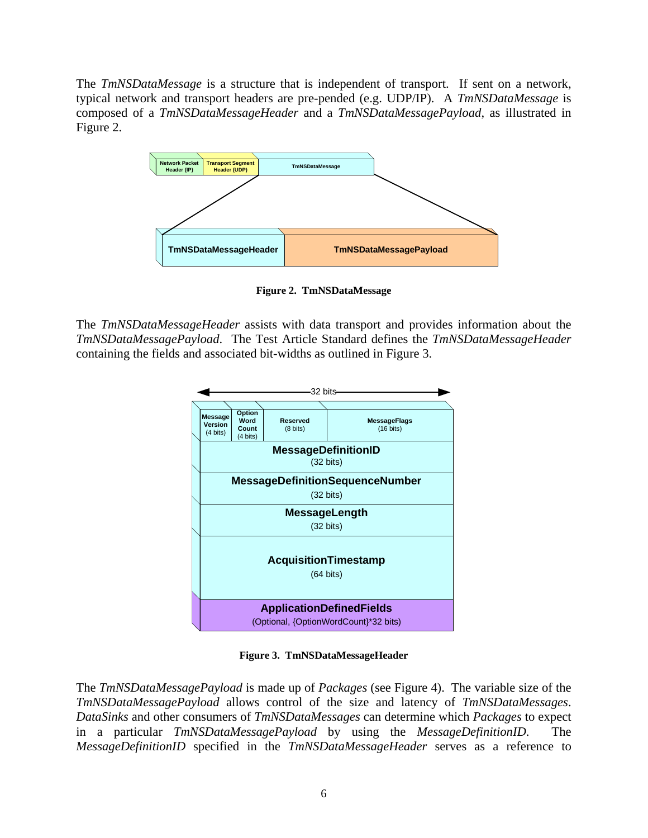The *TmNSDataMessage* is a structure that is independent of transport. If sent on a network, typical network and transport headers are pre-pended (e.g. UDP/IP). A *TmNSDataMessage* is composed of a *TmNSDataMessageHeader* and a *TmNSDataMessagePayload*, as illustrated in [Figure 2](#page-5-0).



**Figure 2. TmNSDataMessage** 

<span id="page-5-0"></span>The *TmNSDataMessageHeader* assists with data transport and provides information about the *TmNSDataMessagePayload*. The Test Article Standard defines the *TmNSDataMessageHeader* containing the fields and associated bit-widths as outlined in [Figure 3](#page-5-1).



**Figure 3. TmNSDataMessageHeader** 

<span id="page-5-1"></span>The *TmNSDataMessagePayload* is made up of *Packages* (see [Figure 4](#page-6-0)). The variable size of the *TmNSDataMessagePayload* allows control of the size and latency of *TmNSDataMessages*. *DataSinks* and other consumers of *TmNSDataMessages* can determine which *Packages* to expect in a particular *TmNSDataMessagePayload* by using the *MessageDefinitionID*. The *MessageDefinitionID* specified in the *TmNSDataMessageHeader* serves as a reference to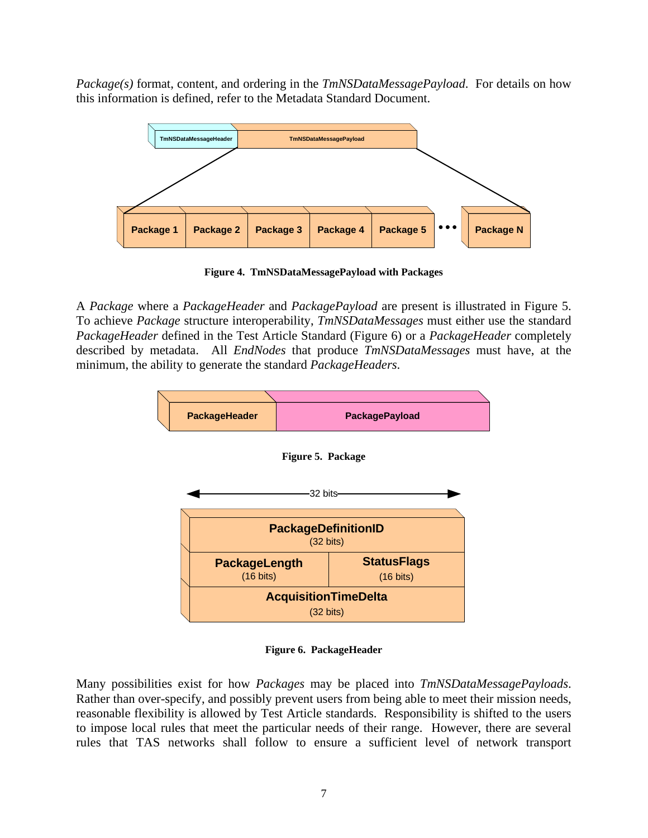*Package(s)* format, content, and ordering in the *TmNSDataMessagePayload*. For details on how this information is defined, refer to the Metadata Standard Document.



**Figure 4. TmNSDataMessagePayload with Packages** 

<span id="page-6-0"></span>A *Package* where a *PackageHeader* and *PackagePayload* are present is illustrated in [Figure 5](#page-6-1). To achieve *Package* structure interoperability, *TmNSDataMessages* must either use the standard *PackageHeader* defined in the Test Article Standard ([Figure 6\)](#page-6-2) or a *PackageHeader* completely described by metadata. All *EndNodes* that produce *TmNSDataMessages* must have, at the minimum, the ability to generate the standard *PackageHeaders*.

<span id="page-6-1"></span>

**Figure 6. PackageHeader** 

<span id="page-6-2"></span>Many possibilities exist for how *Packages* may be placed into *TmNSDataMessagePayloads*. Rather than over-specify, and possibly prevent users from being able to meet their mission needs, reasonable flexibility is allowed by Test Article standards. Responsibility is shifted to the users to impose local rules that meet the particular needs of their range. However, there are several rules that TAS networks shall follow to ensure a sufficient level of network transport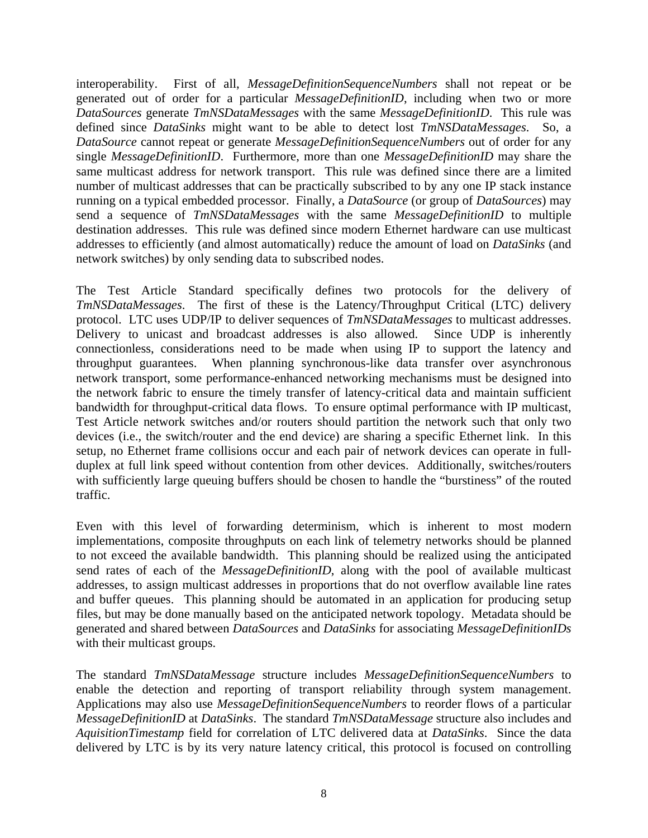interoperability. First of all, *MessageDefinitionSequenceNumbers* shall not repeat or be generated out of order for a particular *MessageDefinitionID*, including when two or more *DataSources* generate *TmNSDataMessages* with the same *MessageDefinitionID*. This rule was defined since *DataSinks* might want to be able to detect lost *TmNSDataMessages*. So, a *DataSource* cannot repeat or generate *MessageDefinitionSequenceNumbers* out of order for any single *MessageDefinitionID*. Furthermore, more than one *MessageDefinitionID* may share the same multicast address for network transport. This rule was defined since there are a limited number of multicast addresses that can be practically subscribed to by any one IP stack instance running on a typical embedded processor. Finally, a *DataSource* (or group of *DataSources*) may send a sequence of *TmNSDataMessages* with the same *MessageDefinitionID* to multiple destination addresses. This rule was defined since modern Ethernet hardware can use multicast addresses to efficiently (and almost automatically) reduce the amount of load on *DataSinks* (and network switches) by only sending data to subscribed nodes.

The Test Article Standard specifically defines two protocols for the delivery of *TmNSDataMessages*. The first of these is the Latency/Throughput Critical (LTC) delivery protocol. LTC uses UDP/IP to deliver sequences of *TmNSDataMessages* to multicast addresses. Delivery to unicast and broadcast addresses is also allowed. Since UDP is inherently connectionless, considerations need to be made when using IP to support the latency and throughput guarantees. When planning synchronous-like data transfer over asynchronous network transport, some performance-enhanced networking mechanisms must be designed into the network fabric to ensure the timely transfer of latency-critical data and maintain sufficient bandwidth for throughput-critical data flows. To ensure optimal performance with IP multicast, Test Article network switches and/or routers should partition the network such that only two devices (i.e., the switch/router and the end device) are sharing a specific Ethernet link. In this setup, no Ethernet frame collisions occur and each pair of network devices can operate in fullduplex at full link speed without contention from other devices. Additionally, switches/routers with sufficiently large queuing buffers should be chosen to handle the "burstiness" of the routed traffic.

Even with this level of forwarding determinism, which is inherent to most modern implementations, composite throughputs on each link of telemetry networks should be planned to not exceed the available bandwidth. This planning should be realized using the anticipated send rates of each of the *MessageDefinitionID*, along with the pool of available multicast addresses, to assign multicast addresses in proportions that do not overflow available line rates and buffer queues. This planning should be automated in an application for producing setup files, but may be done manually based on the anticipated network topology. Metadata should be generated and shared between *DataSources* and *DataSinks* for associating *MessageDefinitionIDs*  with their multicast groups.

The standard *TmNSDataMessage* structure includes *MessageDefinitionSequenceNumbers* to enable the detection and reporting of transport reliability through system management. Applications may also use *MessageDefinitionSequenceNumbers* to reorder flows of a particular *MessageDefinitionID* at *DataSinks*. The standard *TmNSDataMessage* structure also includes and *AquisitionTimestamp* field for correlation of LTC delivered data at *DataSinks*. Since the data delivered by LTC is by its very nature latency critical, this protocol is focused on controlling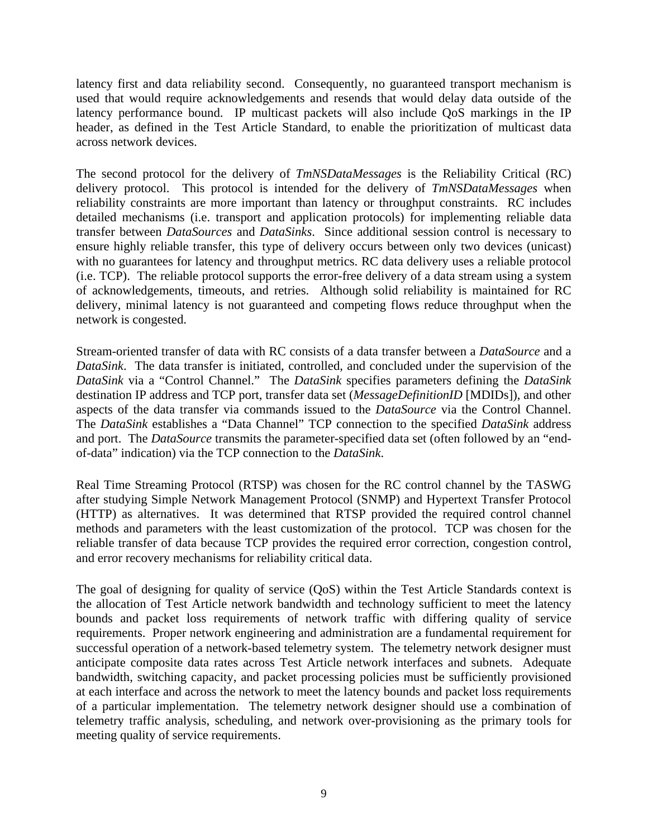latency first and data reliability second. Consequently, no guaranteed transport mechanism is used that would require acknowledgements and resends that would delay data outside of the latency performance bound. IP multicast packets will also include QoS markings in the IP header, as defined in the Test Article Standard, to enable the prioritization of multicast data across network devices.

The second protocol for the delivery of *TmNSDataMessages* is the Reliability Critical (RC) delivery protocol. This protocol is intended for the delivery of *TmNSDataMessages* when reliability constraints are more important than latency or throughput constraints. RC includes detailed mechanisms (i.e. transport and application protocols) for implementing reliable data transfer between *DataSources* and *DataSinks*. Since additional session control is necessary to ensure highly reliable transfer, this type of delivery occurs between only two devices (unicast) with no guarantees for latency and throughput metrics. RC data delivery uses a reliable protocol (i.e. TCP). The reliable protocol supports the error-free delivery of a data stream using a system of acknowledgements, timeouts, and retries. Although solid reliability is maintained for RC delivery, minimal latency is not guaranteed and competing flows reduce throughput when the network is congested.

Stream-oriented transfer of data with RC consists of a data transfer between a *DataSource* and a *DataSink*. The data transfer is initiated, controlled, and concluded under the supervision of the *DataSink* via a "Control Channel." The *DataSink* specifies parameters defining the *DataSink*  destination IP address and TCP port, transfer data set (*MessageDefinitionID* [MDIDs]), and other aspects of the data transfer via commands issued to the *DataSource* via the Control Channel. The *DataSink* establishes a "Data Channel" TCP connection to the specified *DataSink* address and port. The *DataSource* transmits the parameter-specified data set (often followed by an "endof-data" indication) via the TCP connection to the *DataSink*.

Real Time Streaming Protocol (RTSP) was chosen for the RC control channel by the TASWG after studying Simple Network Management Protocol (SNMP) and Hypertext Transfer Protocol (HTTP) as alternatives. It was determined that RTSP provided the required control channel methods and parameters with the least customization of the protocol. TCP was chosen for the reliable transfer of data because TCP provides the required error correction, congestion control, and error recovery mechanisms for reliability critical data.

The goal of designing for quality of service (QoS) within the Test Article Standards context is the allocation of Test Article network bandwidth and technology sufficient to meet the latency bounds and packet loss requirements of network traffic with differing quality of service requirements. Proper network engineering and administration are a fundamental requirement for successful operation of a network-based telemetry system. The telemetry network designer must anticipate composite data rates across Test Article network interfaces and subnets. Adequate bandwidth, switching capacity, and packet processing policies must be sufficiently provisioned at each interface and across the network to meet the latency bounds and packet loss requirements of a particular implementation. The telemetry network designer should use a combination of telemetry traffic analysis, scheduling, and network over-provisioning as the primary tools for meeting quality of service requirements.